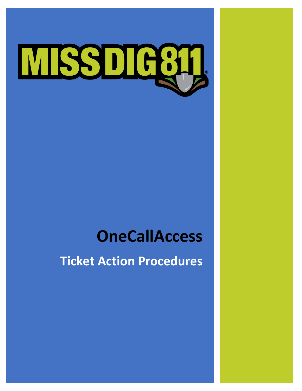# **MSSDIE61**

# **OneCallAccess**

**Ticket Action Procedures**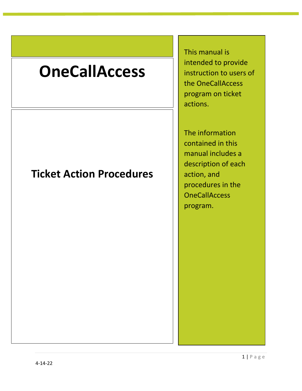# **OneCallAccess**

# **Ticket Action Procedures**

This manual is intended to provide instruction to users of the OneCallAccess program on ticket actions.

The information contained in this manual includes a description of each action, and procedures in the **OneCallAccess** program.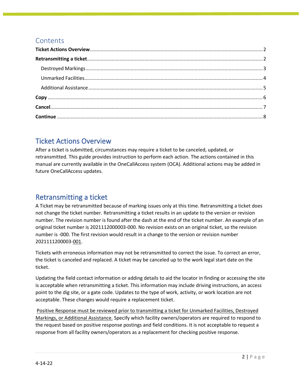## **Contents**

# <span id="page-2-0"></span>Ticket Actions Overview

After a ticket is submitted, circumstances may require a ticket to be canceled, updated, or retransmitted. This guide provides instruction to perform each action. The actions contained in this manual are currently available in the OneCallAccess system (OCA). Additional actions may be added in future OneCallAccess updates.

# <span id="page-2-1"></span>Retransmitting a ticket

A Ticket may be retransmitted because of marking issues only at this time. Retransmitting a ticket does not change the ticket number. Retransmitting a ticket results in an update to the version or revision number. The revision number is found after the dash at the end of the ticket number. An example of an original ticket number is 2021112000003-000. No revision exists on an original ticket, so the revision number is -000. The first revision would result in a change to the version or revision number 2021111200003-001.

Tickets with erroneous information may not be retransmitted to correct the issue. To correct an error, the ticket is canceled and replaced. A ticket may be canceled up to the work legal start date on the ticket.

Updating the field contact information or adding details to aid the locator in finding or accessing the site is acceptable when retransmitting a ticket. This information may include driving instructions, an access point to the dig site, or a gate code. Updates to the type of work, activity, or work location are not acceptable. These changes would require a replacement ticket.

Positive Response must be reviewed prior to transmitting a ticket for Unmarked Facilities, Destroyed Markings, or Additional Assistance. Specify which facility owners/operators are required to respond to the request based on positive response postings and field conditions. It is not acceptable to request a response from all facility owners/operators as a replacement for checking positive response.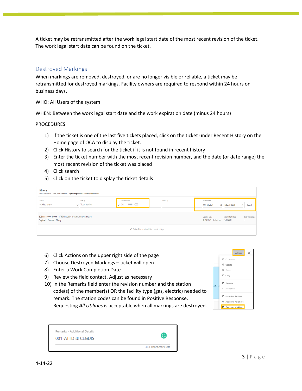A ticket may be retransmitted after the work legal start date of the most recent revision of the ticket. The work legal start date can be found on the ticket.

#### <span id="page-3-0"></span>Destroyed Markings

When markings are removed, destroyed, or are no longer visible or reliable, a ticket may be retransmitted for destroyed markings. Facility owners are required to respond within 24 hours on business days.

#### WHO: All Users of the system

WHEN: Between the work legal start date and the work expiration date (minus 24 hours)

#### **PROCEDURES**

- 1) If the ticket is one of the last five tickets placed, click on the ticket under Recent History on the Home page of OCA to display the ticket.
- 2) Click History to search for the ticket if it is not found in recent history
- 3) Enter the ticket number with the most recent revision number, and the date (or date range) the most recent revision of the ticket was placed
- 4) Click search
- 5) Click on the ticket to display the ticket details

| <b>History</b><br>SERVICEOPERATOR SBOE, <no company=""> Representing CINDYLU, CINDY LU, HOMEOWNER</no> |                                                           |                                           |                                 |                             |               |                    |
|--------------------------------------------------------------------------------------------------------|-----------------------------------------------------------|-------------------------------------------|---------------------------------|-----------------------------|---------------|--------------------|
| Sort by<br>-- Select one --                                                                            | Filter by<br>$\smile$ Ticket number                       | Ticket number<br>$\sim$ 2021111800011-000 | Town/City                       | Created date<br>Oct 01 2021 | X Nov 28 2021 | $\times$<br>Search |
| 2021111800011-000 1790 Harvey Dr Williamston Williamston<br>Original Normal - 21 day                   | <b>Submit Date</b><br>11/18/2021 - 10:45:48 am 11/23/2021 | <b>Ticket Start Date</b>                  | <b>User Reference</b><br>$\sim$ |                             |               |                    |
| That's all the results with the current settings.                                                      |                                                           |                                           |                                 |                             |               |                    |

- 6) Click Actions on the upper right side of the page
- 7) Choose Destroyed Markings ticket will open
- 8) Enter a Work Completion Date
- 9) Review the field contact. Adjust as necessary
- 10) In the Remarks field enter the revision number and the station code(s) of the member(s) OR the facility type (gas, electric) needed to remark. The station codes can be found in Positive Response. Requesting *All Utilities* is acceptable when all markings are destroyed.

|       | Actions                              |
|-------|--------------------------------------|
|       | C <sup>#</sup> Correction            |
|       | C <sup>#</sup> Update                |
|       | Cancel                               |
|       | $C^*$ Copy                           |
| about | C <sup>*</sup> Relocate              |
|       | C <sup>#</sup> Promotion             |
|       | C <sup>4</sup> Unmarked Facilities   |
|       | C <sup>4</sup> Additional Assistance |
|       | C Destroyed Markings                 |

| Remarks - Additional Details<br>001-ATTD & CEGDIS | G                   |
|---------------------------------------------------|---------------------|
|                                                   | 383 characters left |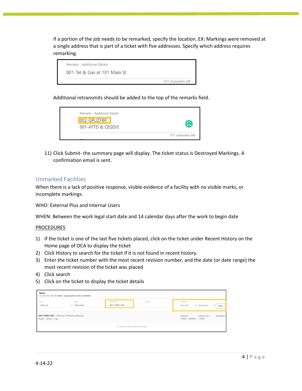If a portion of the job needs to be remarked, specify the location. EX: Markings were removed at a single address that is part of a ticket with five addresses. Specify which address requires remarking.



Additional retransmits should be added to the top of the remarks field.



11) Click Submit- the summary page will display. The ticket status is Destroyed Markings. A confirmation email is sent.

#### <span id="page-4-0"></span>Unmarked Facilities

When there is a lack of positive response, visible evidence of a facility with no visible marks, or incomplete markings.

WHO: External Plus and Internal Users

WHEN: Between the work legal start date and 14 calendar days after the work to begin date

#### PROCEDURES

- 1) If the ticket is one of the last five tickets placed, click on the ticket under Recent History on the Home page of OCA to display the ticket
- 2) Click History to search for the ticket if it is not found in recent history.
- 3) Enter the ticket number with the most recent revision number, and the date (or date range) the most recent revision of the ticket was placed
- 4) Click search
- 5) Click on the ticket to display the ticket details

| <b>History</b><br>SERVICEOPERATOR SBOE, <no company=""> Representing CINDYLU, CINDY LU, HOMEOWNER</no> |                              |                                           |           |                             |                                                                 |                                 |
|--------------------------------------------------------------------------------------------------------|------------------------------|-------------------------------------------|-----------|-----------------------------|-----------------------------------------------------------------|---------------------------------|
| Sort by<br>-- Select one --                                                                            | Filter by<br>V Ticket number | Ticket number<br>$\vee$ 2021111800011-000 | Town/City | Created date<br>Oct 01 2021 | X Nov 28 2021                                                   | $\times$<br>Search              |
| 2021111800011-000 1790 Harvey Dr Williamston Williamston<br>Original Normal - 21 day                   |                              |                                           |           |                             | <b>Ticket Start Date</b><br>11/18/2021 - 10:45:48 am 11/23/2021 | <b>User Reference</b><br>$\sim$ |
| That's all the results with the current settings.                                                      |                              |                                           |           |                             |                                                                 |                                 |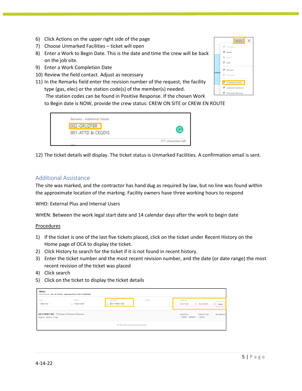- 6) Click Actions on the upper right side of the page
- 7) Choose Unmarked Facilities ticket will open
- 8) Enter a Work to Begin Date. This is the date and time the crew will be back on the job site.
- 9) Enter a Work Completion Date
- 10) Review the field contact. Adjust as necessary
- 11) In the Remarks field enter the revision number of the request, the facility type (gas, elec) or the station code(s) of the member(s) needed.



The station codes can be found in Positive Response. If the chosen Work to Begin date is NOW, provide the crew status: CREW ON SITE or CREW EN ROUTE

| Remarks - Additional Details |                     |
|------------------------------|---------------------|
| 002-GRUZFBR                  | G                   |
| 001-ATTD & CEGDIS            |                     |
|                              | 371 characters left |

12) The ticket details will display. The ticket status is Unmarked Facilities. A confirmation email is sent.

#### <span id="page-5-0"></span>Additional Assistance

The site was marked, and the contractor has hand dug as required by law, but no line was found within the approximate location of the marking. Facility owners have three working hours to respond

WHO: External Plus and Internal Users

WHEN: Between the work legal start date and 14 calendar days after the work to begin date

Procedures

- 1) If the ticket is one of the last five tickets placed, click on the ticket under Recent History on the Home page of OCA to display the ticket.
- 2) Click History to search for the ticket if it is not found in recent history.
- 3) Enter the ticket number and the most recent revision number, and the date (or date range) the most recent revision of the ticket was placed
- 4) Click search
- 5) Click on the ticket to display the ticket details

| <b>History</b><br>SERVICEOPERATOR SBOE, <no company=""> Representing CINDYLU, CINDY LU, HOMEOWNER</no> |                                   |                                           |           |                             |                                                                 |                                 |
|--------------------------------------------------------------------------------------------------------|-----------------------------------|-------------------------------------------|-----------|-----------------------------|-----------------------------------------------------------------|---------------------------------|
| Sort by<br>-- Select one --                                                                            | Filter by<br>$\vee$ Ticket number | Ticket number<br>$\vee$ 2021111800011-000 | Town/City | Created date<br>Oct 01 2021 | X Nov 28 2021                                                   | $\times$<br>Search              |
| 2021111800011-000 1790 Harvey Dr Williamston Williamston<br>Original Normal - 21 day                   |                                   |                                           |           |                             | <b>Ticket Start Date</b><br>11/18/2021 - 10:45:48 am 11/23/2021 | <b>User Reference</b><br>$\sim$ |
| That's all the results with the current settings.                                                      |                                   |                                           |           |                             |                                                                 |                                 |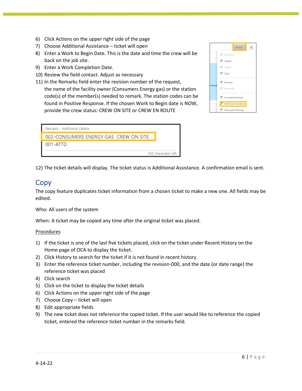- 6) Click Actions on the upper right side of the page
- 7) Choose Additional Assistance ticket will open
- 8) Enter a Work to Begin Date. This is the date and time the crew will be back on the job site.
- 9) Enter a Work Completion Date.
- 10) Review the field contact. Adjust as necessary
- 11) In the Remarks field enter the revision number of the request, the name of the facility owner (Consumers Energy gas) or the station code(s) of the member(s) needed to remark. The station codes can be found in Positive Response. If the chosen Work to Begin date is NOW, provide the crew status: CREW ON SITE or CREW EN ROUTE

|       |                           | <b>Actions</b> |  |
|-------|---------------------------|----------------|--|
|       | C <sup>ª</sup> Correction |                |  |
|       | C <sup>#</sup> Update     |                |  |
|       | Cancel                    |                |  |
|       | $C^*$ Copy                |                |  |
| about | $C^*$ Relocate            |                |  |
|       | C <sup>ª</sup> Promotion  |                |  |
|       | C Unmarked Facilities     |                |  |
|       | Additional Assistance     |                |  |
|       | C Destroyed Markings      |                |  |



12) The ticket details will display. The ticket status is Additional Assistance. A confirmation email is sent.

### <span id="page-6-0"></span>**Copy**

The copy feature duplicates ticket information from a chosen ticket to make a new one. All fields may be edited.

Who: All users of the system

When: A ticket may be copied any time after the original ticket was placed.

#### Procedures

- 1) If the ticket is one of the last five tickets placed, click on the ticket under Recent History on the Home page of OCA to display the ticket.
- 2) Click History to search for the ticket if it is not found in recent history.
- 3) Enter the reference ticket number, including the revision-000, and the date (or date range) the reference ticket was placed
- 4) Click search
- 5) Click on the ticket to display the ticket details
- 6) Click Actions on the upper right side of the page
- 7) Choose Copy ticket will open
- 8) Edit appropriate fields
- 9) The new ticket does not reference the copied ticket. If the user would like to reference the copied ticket, entered the reference ticket number in the remarks field.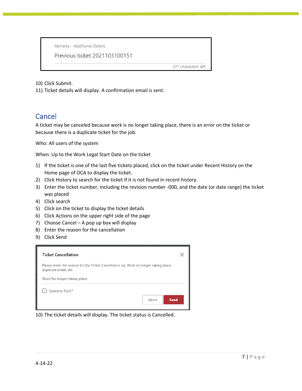Remarks - Additional Details

Previous ticket 2021103100151

371 characters left

10) Click Submit.

11) Ticket details will display. A confirmation email is sent.

## <span id="page-7-0"></span>Cancel

A ticket may be canceled because work is no longer taking place, there is an error on the ticket or because there is a duplicate ticket for the job.

Who: All users of the system

When: Up to the Work Legal Start Date on the ticket

- 1) If the ticket is one of the last five tickets placed, click on the ticket under Recent History on the Home page of OCA to display the ticket.
- 2) Click History to search for the ticket if it is not found in recent history.
- 3) Enter the ticket number, including the revision number -000, and the date (or date range) the ticket was placed
- 4) Click search
- 5) Click on the ticket to display the ticket details
- 6) Click Actions on the upper right side of the page
- 7) Choose Cancel A pop up box will display
- 8) Enter the reason for the cancellation
- 9) Click Send

| <b>Ticket Cancellation</b>                                                                                     |  |
|----------------------------------------------------------------------------------------------------------------|--|
| Please enter the reason for the Ticket Cancellation eg: Work no longer taking place,<br>duplicate ticket, etc. |  |
| Work No longer taking place                                                                                    |  |
| Operator Fault?<br>Abort<br><b>Send</b>                                                                        |  |

10) The ticket details will display. The ticket status is Cancelled.